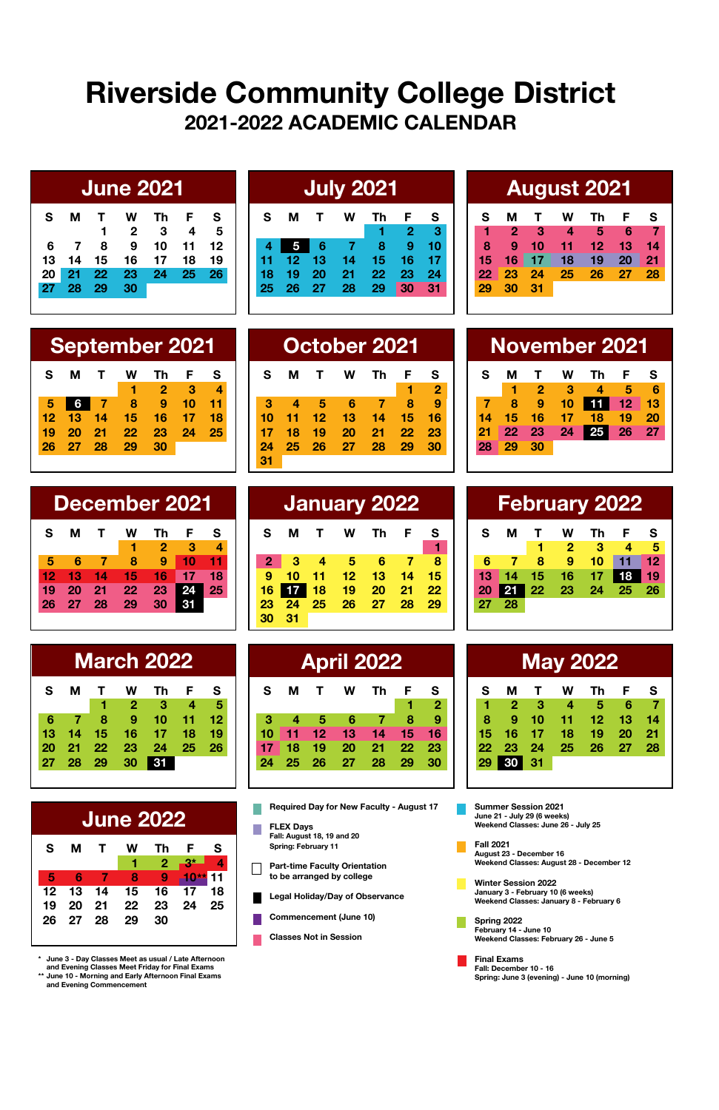## **Riverside Community College District 2021-2022 ACADEMIC CALENDAR**

|    |     |      |                | <b>June 2021</b> |    |    |
|----|-----|------|----------------|------------------|----|----|
| s  | м   | т    | w              | Th               | F  | s  |
|    |     | 1    | $\overline{2}$ | -3               | 4  | 5  |
| 6  | - 7 | 8    | 9              | 10               | 11 | 12 |
| 13 | 14  | 15   | 16             | 17               | 18 | 19 |
| 20 | 21  | - 22 | 23             | 24               | 25 | 26 |
| 27 | -28 | - 29 | 30             |                  |    |    |
|    |     |      |                |                  |    |    |

| <b>July 2021</b> |    |    |     |    |                |    |  |  |
|------------------|----|----|-----|----|----------------|----|--|--|
| s                | м  | т  | w   | Th | F              | s  |  |  |
|                  |    |    |     | 1  | $\overline{2}$ | s. |  |  |
| 4                | 5  | 6  | - 7 | 8  | 9              | 10 |  |  |
| 11               | 12 | 13 | 14  | 15 | 16             | 17 |  |  |
| 18               | 19 | 20 | 21  | 22 | 23             | 24 |  |  |
| 25               | 26 | 27 | 28  | 29 | 30             | 31 |  |  |
|                  |    |    |     |    |                |    |  |  |

### **June 2021 July 2021 August 2021**

| s |          | м т | <b>W</b>             | Th F | s |
|---|----------|-----|----------------------|------|---|
|   |          |     | 2 3 4 5 6 7          |      |   |
| 8 |          |     | 9 10 11 12 13 14     |      |   |
|   |          |     | 15 16 17 18 19 20 21 |      |   |
|   |          |     | 22 23 24 25 26 27 28 |      |   |
|   | 29 30 31 |     |                      |      |   |
|   |          |     |                      |      |   |

|    | <b>September 2021</b> |  |   |           |                |           |  |  |  |  |
|----|-----------------------|--|---|-----------|----------------|-----------|--|--|--|--|
| S. |                       |  |   | MT WTh FS |                |           |  |  |  |  |
|    |                       |  |   |           | 2 <sup>2</sup> |           |  |  |  |  |
|    | 5677                  |  | 8 |           |                | $10 - 11$ |  |  |  |  |

**12 13 14 15 16 17 18 19 20 21 22 23 24 25 26 27 28 29 30**

| December 2021 |    |     |    |    |    |    |  |  |  |
|---------------|----|-----|----|----|----|----|--|--|--|
| s             | м  | т   |    | тh | F  | s  |  |  |  |
|               |    |     |    | 2  | -3 | 4  |  |  |  |
|               | Բ  |     | 8  | 9  | 10 | 11 |  |  |  |
| 12            | 13 | 14  | 15 | 16 | 17 | 18 |  |  |  |
| 19            | 20 | 21  | 22 | 23 |    | 25 |  |  |  |
| 26            | 27 | -28 | 29 | 30 |    |    |  |  |  |
|               |    |     |    |    |    |    |  |  |  |

|    |    |    | <b>March 2022</b> |    |    |    |
|----|----|----|-------------------|----|----|----|
| s  | м  | т  | w                 | Тh | F  | s  |
|    |    | 1  | $\overline{2}$    | -3 | 4  | 5  |
| 6  |    | 8  | 9                 | 10 | 11 | 12 |
| 13 | 14 | 15 | 16                | 17 | 18 | 19 |
| 20 | 21 | 22 | 23                | 24 | 25 | 26 |
| 27 | 28 | 29 | 30                |    |    |    |
|    |    |    |                   |    |    |    |

|    |       |              | June 2022 |     |           |    |
|----|-------|--------------|-----------|-----|-----------|----|
| s  | м     | $\mathbf{T}$ | w         | Тh  | - F       | s  |
|    |       |              | 1.        |     | 2 3*      |    |
| ٠  | - 6   |              | 8         | - 9 | $-10**$   | 11 |
| 12 | 13 14 |              | 15        | 16  | $17^{18}$ |    |
| 19 |       | 20 21 22     |           |     | 23 24 25  |    |
| 26 | 27 28 |              | 29        | 30  |           |    |

**\* June 3 - Day Classes Meet as usual / Late Afternoon and Evening Classes Meet Friday for Final Exams \*\* June 10 - Morning and Early Afternoon Final Exams and Evening Commencement**

|    |    |     |    | <u>September 2021</u><br>October 2021 |    |  |    |    |  |   |    |    |    |    |    | <b>November 2021</b> |    |    |    |  |
|----|----|-----|----|---------------------------------------|----|--|----|----|--|---|----|----|----|----|----|----------------------|----|----|----|--|
|    |    |     |    |                                       |    |  | s  | м  |  | w |    | F  |    | s  | м  |                      | w  | Th |    |  |
|    |    |     |    |                                       |    |  |    |    |  |   |    |    | 2  |    |    |                      |    |    |    |  |
| 6  |    |     |    |                                       |    |  |    |    |  |   |    |    | 9  |    |    | 9                    |    |    |    |  |
| 13 | 14 | 15. |    |                                       | 18 |  |    |    |  |   |    |    | 16 |    |    |                      |    | 18 | 19 |  |
|    | 21 | 22  | 23 | 24                                    | 25 |  |    |    |  |   | 21 | 22 | 23 |    |    | 23                   | 24 | 25 | 26 |  |
| 27 | 28 | 29  | 30 |                                       |    |  | 24 | 25 |  |   | 28 | 29 | 30 | 28 | 29 | - 30                 |    |    |    |  |
|    |    |     |    |                                       |    |  | 31 |    |  |   |    |    |    |    |    |                      |    |    |    |  |

| December 2021 |    |     |    |    |    | January 2022 |    |    |    |    |    | February 2022 |  |    |    |    |    |    |      |
|---------------|----|-----|----|----|----|--------------|----|----|----|----|----|---------------|--|----|----|----|----|----|------|
| м             |    |     | Th |    |    | s            | м  |    | w  | Th | F  | - S           |  | s  | м  |    | w  |    |      |
|               |    |     |    |    | 4  |              |    |    |    |    |    |               |  |    |    |    |    |    |      |
|               |    |     | 9  |    |    |              |    |    | 5  |    |    |               |  |    |    | я  |    |    |      |
| 13            | 14 | 15  | 16 |    | 18 | 9            | 10 |    |    | 13 | 14 | 15            |  | 13 |    |    | 16 |    |      |
|               | 21 | 22. | 23 | 24 | 25 |              |    | 18 | 19 | 20 | 21 | 22            |  |    |    | 22 | 23 | 24 | - 25 |
| 27            | 28 | 29  | 30 |    |    |              | 24 | 25 |    | 27 | 28 | 29            |  | 27 | 28 |    |    |    |      |
|               |    |     |    |    |    |              | 31 |    |    |    |    |               |  |    |    |    |    |    |      |

|    | <b>March 2022</b> |    |    |    |    | <b>April 2022</b> |    |    |    |    |    |    | <b>May 2022</b> |    |    |    |    |  |
|----|-------------------|----|----|----|----|-------------------|----|----|----|----|----|----|-----------------|----|----|----|----|--|
| л  |                   | w  |    |    | s  | s                 | М  |    | w  | Th | F  | S  | s               | м  |    | w  | Th |  |
|    |                   | 2  | з  |    | 5  |                   |    |    |    |    |    | 2  |                 | 2  | з  | 4  | 5  |  |
| 7  | 8                 | 9  | 10 |    |    |                   |    |    |    |    |    | 9  |                 | 9  | 10 |    | 12 |  |
| 4  | 15                | 16 |    | 18 | 19 | 10                |    | 12 |    |    |    |    | 15              | 16 |    | 18 | 19 |  |
| 1. | 22                | 23 | 24 | 25 | 26 |                   |    | 19 | 20 | 21 | 22 | 23 | 22              | 23 | 24 | 25 | 26 |  |
|    | 8 29              | 30 | 31 |    |    | 24                | 25 | 26 | 27 | 28 | 29 | 30 | 29              | 30 | 31 |    |    |  |
|    |                   |    |    |    |    |                   |    |    |    |    |    |    |                 |    |    |    |    |  |

**Required Day for New Faculty - August 17**  $\overline{\phantom{a}}$ 

- **FLEX Days Fall: August 18, 19 and 20 Spring: February 11**
- **Part-time Faculty Orientation to be arranged by college**

**Legal Holiday/Day of Observance** П

- **Commencement (June 10)** П
- **Classes Not in Session**

| <b>November 2021</b> |    |    |    |    |    |    |  |  |  |
|----------------------|----|----|----|----|----|----|--|--|--|
| s                    | м  |    | w  | тh | F  | s  |  |  |  |
|                      |    | -2 | ◆  |    | Б  | ĥ  |  |  |  |
|                      | 8  | 9  | 10 | 1  | 12 | 13 |  |  |  |
| 14                   | 15 | 16 | 17 | 18 | 19 | 20 |  |  |  |
|                      | 22 | 23 | 24 |    | 26 | 27 |  |  |  |
|                      |    | 30 |    |    |    |    |  |  |  |

| <b>February 2022</b>      |
|---------------------------|
| s                         |
| 5                         |
| 12                        |
| 19                        |
| 26                        |
|                           |
| F.<br>4<br>11<br>18<br>25 |

| м  | т  | w     | Th | F  | s               |
|----|----|-------|----|----|-----------------|
| 2  | з  | 4     | 5  | 6  |                 |
| 9  | 10 | 11    | 12 | 13 | 14              |
| 16 | 17 | 18    | 19 | 20 | 21              |
|    |    | 25    | 26 | 27 | 28              |
| 30 | 31 |       |    |    |                 |
|    | 23 | $-24$ |    |    | <b>May 2022</b> |

**Summer Session 2021 June 21 - July 29 (6 weeks) Weekend Classes: June 26 - July 25**

П

**Fall 2021 August 23 - December 16 Weekend Classes: August 28 - December 12**

**Winter Session 2022 January 3 - February 10 (6 weeks) Weekend Classes: January 8 - February 6**

**Spring 2022 February 14 - June 10 Weekend Classes: February 26 - June 5**

**Final Exams Fall: December 10 - 16 Spring: June 3 (evening) - June 10 (morning)**